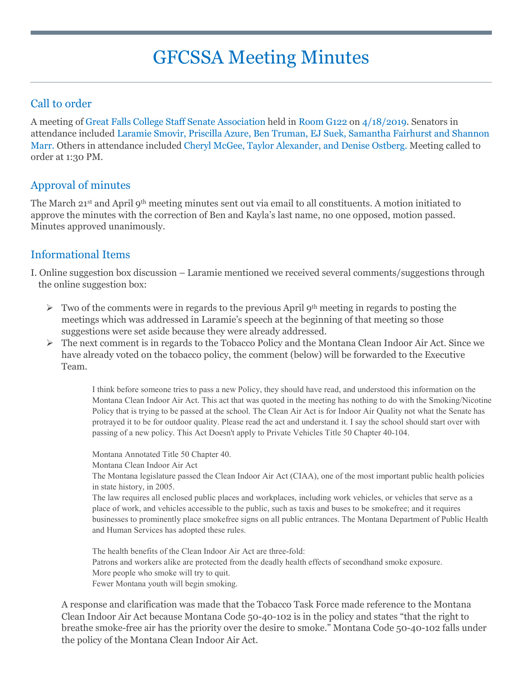# GFCSSA Meeting Minutes

## Call to order

A meeting of Great Falls College Staff Senate Association held in Room G122 on 4/18/2019. Senators in attendance included Laramie Smovir, Priscilla Azure, Ben Truman, EJ Suek, Samantha Fairhurst and Shannon Marr. Others in attendance included Cheryl McGee, Taylor Alexander, and Denise Ostberg. Meeting called to order at 1:30 PM.

## Approval of minutes

The March 21<sup>st</sup> and April 9<sup>th</sup> meeting minutes sent out via email to all constituents. A motion initiated to approve the minutes with the correction of Ben and Kayla's last name, no one opposed, motion passed. Minutes approved unanimously.

### Informational Items

I. Online suggestion box discussion – Laramie mentioned we received several comments/suggestions through the online suggestion box:

- $\triangleright$  Two of the comments were in regards to the previous April 9<sup>th</sup> meeting in regards to posting the meetings which was addressed in Laramie's speech at the beginning of that meeting so those suggestions were set aside because they were already addressed.
- $\triangleright$  The next comment is in regards to the Tobacco Policy and the Montana Clean Indoor Air Act. Since we have already voted on the tobacco policy, the comment (below) will be forwarded to the Executive Team.

I think before someone tries to pass a new Policy, they should have read, and understood this information on the Montana Clean Indoor Air Act. This act that was quoted in the meeting has nothing to do with the Smoking/Nicotine Policy that is trying to be passed at the school. The Clean Air Act is for Indoor Air Quality not what the Senate has protrayed it to be for outdoor quality. Please read the act and understand it. I say the school should start over with passing of a new policy. This Act Doesn't apply to Private Vehicles Title 50 Chapter 40-104.

Montana Annotated Title 50 Chapter 40.

Montana Clean Indoor Air Act

The Montana legislature passed the Clean Indoor Air Act (CIAA), one of the most important public health policies in state history, in 2005.

The law requires all enclosed public places and workplaces, including work vehicles, or vehicles that serve as a place of work, and vehicles accessible to the public, such as taxis and buses to be smokefree; and it requires businesses to prominently place smokefree signs on all public entrances. The Montana Department of Public Health and Human Services has adopted these rules.

The health benefits of the Clean Indoor Air Act are three-fold: Patrons and workers alike are protected from the deadly health effects of secondhand smoke exposure. More people who smoke will try to quit. Fewer Montana youth will begin smoking.

A response and clarification was made that the Tobacco Task Force made reference to the Montana Clean Indoor Air Act because Montana Code 50-40-102 is in the policy and states "that the right to breathe smoke-free air has the priority over the desire to smoke." Montana Code 50-40-102 falls under the policy of the Montana Clean Indoor Air Act.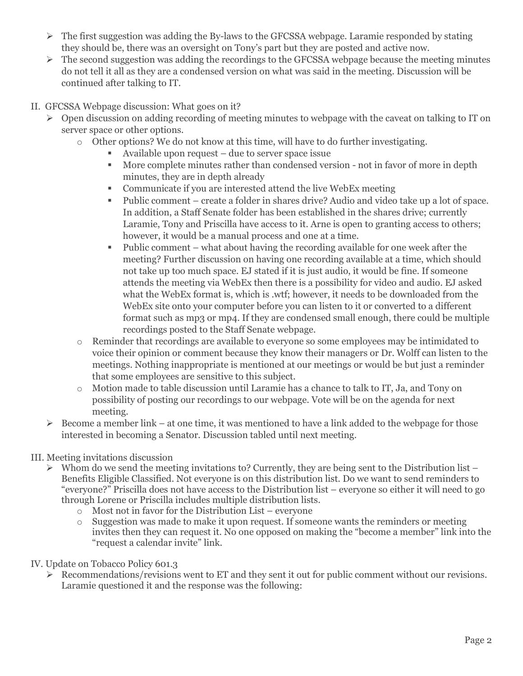- $\triangleright$  The first suggestion was adding the By-laws to the GFCSSA webpage. Laramie responded by stating they should be, there was an oversight on Tony's part but they are posted and active now.
- $\triangleright$  The second suggestion was adding the recordings to the GFCSSA webpage because the meeting minutes do not tell it all as they are a condensed version on what was said in the meeting. Discussion will be continued after talking to IT.
- II. GFCSSA Webpage discussion: What goes on it?
	- $\triangleright$  Open discussion on adding recording of meeting minutes to webpage with the caveat on talking to IT on server space or other options.
		- o Other options? We do not know at this time, will have to do further investigating.
			- Available upon request due to server space issue
			- More complete minutes rather than condensed version not in favor of more in depth minutes, they are in depth already
			- Communicate if you are interested attend the live WebEx meeting
			- Public comment create a folder in shares drive? Audio and video take up a lot of space. In addition, a Staff Senate folder has been established in the shares drive; currently Laramie, Tony and Priscilla have access to it. Arne is open to granting access to others; however, it would be a manual process and one at a time.
			- Public comment what about having the recording available for one week after the meeting? Further discussion on having one recording available at a time, which should not take up too much space. EJ stated if it is just audio, it would be fine. If someone attends the meeting via WebEx then there is a possibility for video and audio. EJ asked what the WebEx format is, which is .wtf; however, it needs to be downloaded from the WebEx site onto your computer before you can listen to it or converted to a different format such as mp3 or mp4. If they are condensed small enough, there could be multiple recordings posted to the Staff Senate webpage.
		- o Reminder that recordings are available to everyone so some employees may be intimidated to voice their opinion or comment because they know their managers or Dr. Wolff can listen to the meetings. Nothing inappropriate is mentioned at our meetings or would be but just a reminder that some employees are sensitive to this subject.
		- o Motion made to table discussion until Laramie has a chance to talk to IT, Ja, and Tony on possibility of posting our recordings to our webpage. Vote will be on the agenda for next meeting.
	- $\triangleright$  Become a member link at one time, it was mentioned to have a link added to the webpage for those interested in becoming a Senator. Discussion tabled until next meeting.

#### III. Meeting invitations discussion

- $\triangleright$  Whom do we send the meeting invitations to? Currently, they are being sent to the Distribution list Benefits Eligible Classified. Not everyone is on this distribution list. Do we want to send reminders to "everyone?" Priscilla does not have access to the Distribution list – everyone so either it will need to go through Lorene or Priscilla includes multiple distribution lists.
	- o Most not in favor for the Distribution List everyone
	- o Suggestion was made to make it upon request. If someone wants the reminders or meeting invites then they can request it. No one opposed on making the "become a member" link into the "request a calendar invite" link.
- IV. Update on Tobacco Policy 601.3
	- $\triangleright$  Recommendations/revisions went to ET and they sent it out for public comment without our revisions. Laramie questioned it and the response was the following: